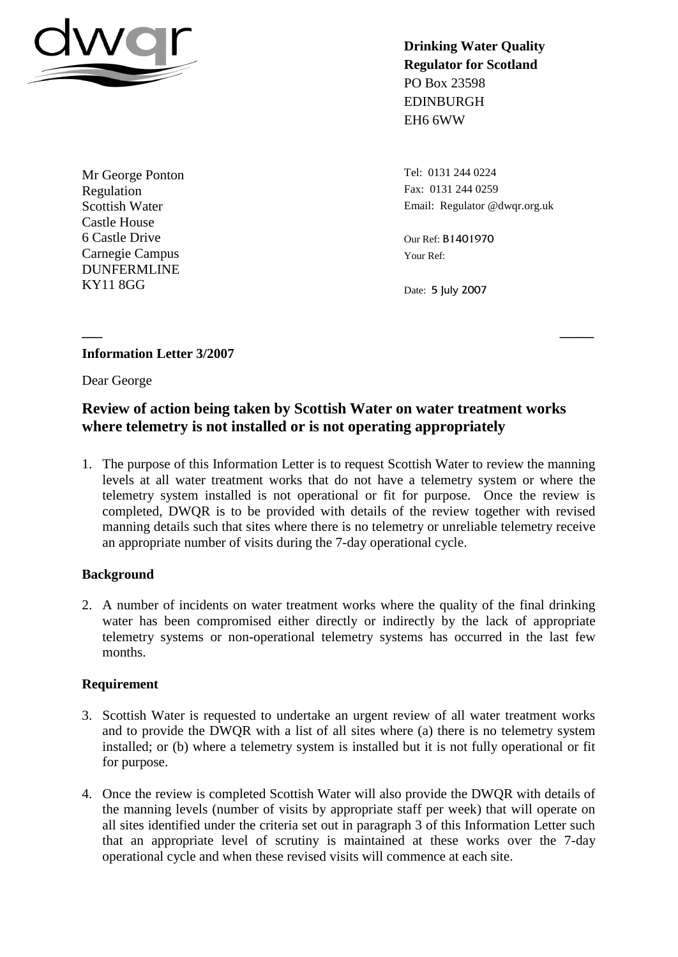

Mr George Ponton Regulation Scottish Water Castle House 6 Castle Drive Carnegie Campus DUNFERMLINE KY11 8GG

**Drinking Water Quality Regulator for Scotland** PO Box 23598 EDINBURGH EH6 6WW

Tel: 0131 244 0224 Fax: 0131 244 0259 Email: Regulator @dwqr.org.uk

Our Ref: B1401970 Your Ref:

Date: 5 July 2007

# **Information Letter 3/2007**

Dear George

# **Review of action being taken by Scottish Water on water treatment works where telemetry is not installed or is not operating appropriately**

**\_\_\_ \_\_\_\_\_**

1. The purpose of this Information Letter is to request Scottish Water to review the manning levels at all water treatment works that do not have a telemetry system or where the telemetry system installed is not operational or fit for purpose. Once the review is completed, DWQR is to be provided with details of the review together with revised manning details such that sites where there is no telemetry or unreliable telemetry receive an appropriate number of visits during the 7-day operational cycle.

# **Background**

2. A number of incidents on water treatment works where the quality of the final drinking water has been compromised either directly or indirectly by the lack of appropriate telemetry systems or non-operational telemetry systems has occurred in the last few months.

### **Requirement**

- 3. Scottish Water is requested to undertake an urgent review of all water treatment works and to provide the DWQR with a list of all sites where (a) there is no telemetry system installed; or (b) where a telemetry system is installed but it is not fully operational or fit for purpose.
- 4. Once the review is completed Scottish Water will also provide the DWQR with details of the manning levels (number of visits by appropriate staff per week) that will operate on all sites identified under the criteria set out in paragraph 3 of this Information Letter such that an appropriate level of scrutiny is maintained at these works over the 7-day operational cycle and when these revised visits will commence at each site.